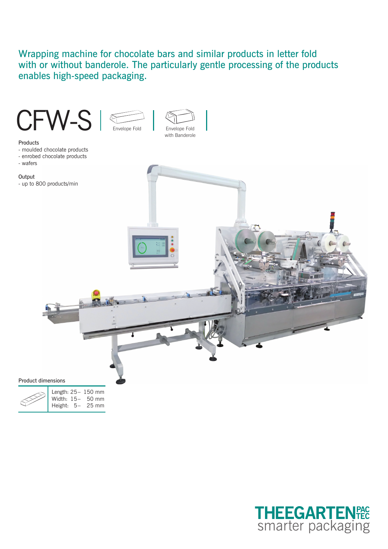### Wrapping machine for chocolate bars and similar products in letter fold with or without banderole. The particularly gentle processing of the products enables high-speed packaging.